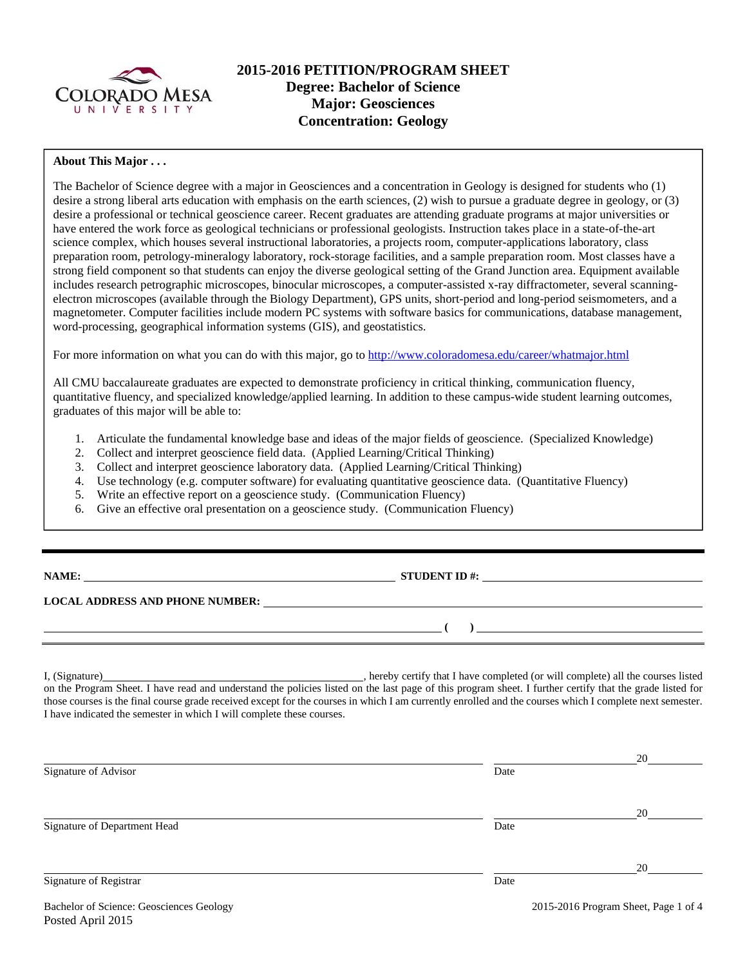

# **2015-2016 PETITION/PROGRAM SHEET Degree: Bachelor of Science Major: Geosciences Concentration: Geology**

## **About This Major . . .**

The Bachelor of Science degree with a major in Geosciences and a concentration in Geology is designed for students who (1) desire a strong liberal arts education with emphasis on the earth sciences, (2) wish to pursue a graduate degree in geology, or (3) desire a professional or technical geoscience career. Recent graduates are attending graduate programs at major universities or have entered the work force as geological technicians or professional geologists. Instruction takes place in a state-of-the-art science complex, which houses several instructional laboratories, a projects room, computer-applications laboratory, class preparation room, petrology-mineralogy laboratory, rock-storage facilities, and a sample preparation room. Most classes have a strong field component so that students can enjoy the diverse geological setting of the Grand Junction area. Equipment available includes research petrographic microscopes, binocular microscopes, a computer-assisted x-ray diffractometer, several scanningelectron microscopes (available through the Biology Department), GPS units, short-period and long-period seismometers, and a magnetometer. Computer facilities include modern PC systems with software basics for communications, database management, word-processing, geographical information systems (GIS), and geostatistics.

For more information on what you can do with this major, go to http://www.coloradomesa.edu/career/whatmajor.html

All CMU baccalaureate graduates are expected to demonstrate proficiency in critical thinking, communication fluency, quantitative fluency, and specialized knowledge/applied learning. In addition to these campus-wide student learning outcomes, graduates of this major will be able to:

- 1. Articulate the fundamental knowledge base and ideas of the major fields of geoscience. (Specialized Knowledge)
- 2. Collect and interpret geoscience field data. (Applied Learning/Critical Thinking)
- 3. Collect and interpret geoscience laboratory data. (Applied Learning/Critical Thinking)
- 4. Use technology (e.g. computer software) for evaluating quantitative geoscience data. (Quantitative Fluency)
- 5. Write an effective report on a geoscience study. (Communication Fluency)
- 6. Give an effective oral presentation on a geoscience study. (Communication Fluency)

| NAMI |  |  |  |  |  |
|------|--|--|--|--|--|
|------|--|--|--|--|--|

**STUDENT ID #:**  $\qquad \qquad$ 

 **( )** 

**LOCAL ADDRESS AND PHONE NUMBER:**

I, (Signature) , hereby certify that I have completed (or will complete) all the courses listed on the Program Sheet. I have read and understand the policies listed on the last page of this program sheet. I further certify that the grade listed for those courses is the final course grade received except for the courses in which I am currently enrolled and the courses which I complete next semester. I have indicated the semester in which I will complete these courses.

|                              |      | 20 |
|------------------------------|------|----|
| Signature of Advisor         | Date |    |
|                              |      |    |
|                              |      | 20 |
| Signature of Department Head | Date |    |
|                              |      |    |
|                              |      | 20 |
| Signature of Registrar       | Date |    |
|                              |      |    |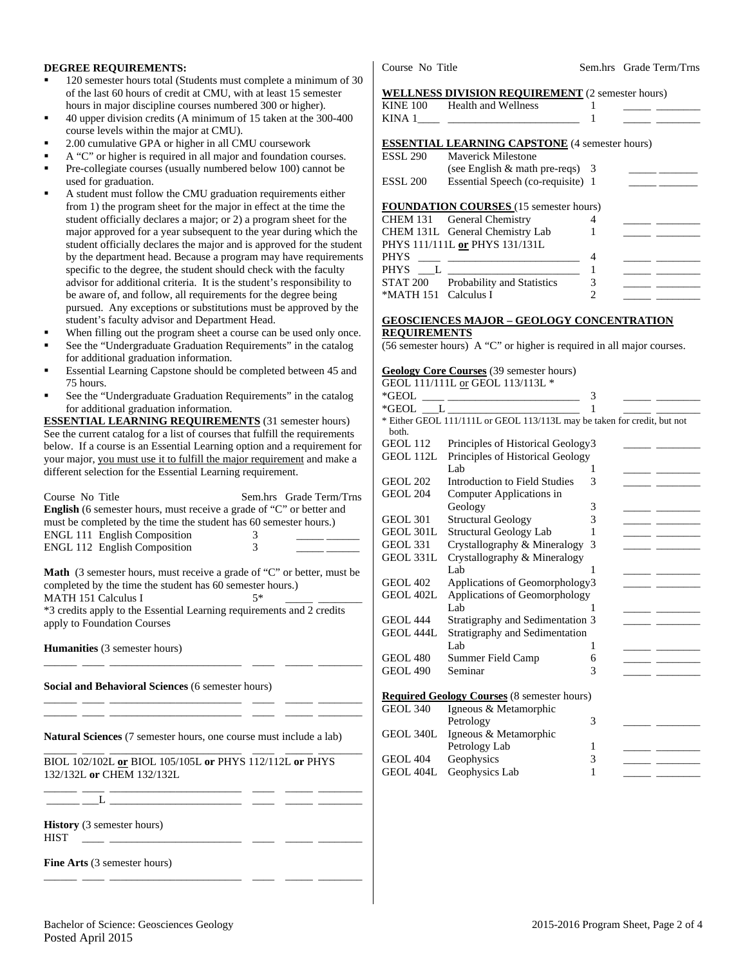#### **DEGREE REQUIREMENTS:**

- 120 semester hours total (Students must complete a minimum of 30 of the last 60 hours of credit at CMU, with at least 15 semester hours in major discipline courses numbered 300 or higher).
- 40 upper division credits (A minimum of 15 taken at the 300-400 course levels within the major at CMU).
- 2.00 cumulative GPA or higher in all CMU coursework
- A "C" or higher is required in all major and foundation courses.
- Pre-collegiate courses (usually numbered below 100) cannot be used for graduation.
- A student must follow the CMU graduation requirements either from 1) the program sheet for the major in effect at the time the student officially declares a major; or 2) a program sheet for the major approved for a year subsequent to the year during which the student officially declares the major and is approved for the student by the department head. Because a program may have requirements specific to the degree, the student should check with the faculty advisor for additional criteria. It is the student's responsibility to be aware of, and follow, all requirements for the degree being pursued. Any exceptions or substitutions must be approved by the student's faculty advisor and Department Head.
- When filling out the program sheet a course can be used only once.
- See the "Undergraduate Graduation Requirements" in the catalog for additional graduation information.
- Essential Learning Capstone should be completed between 45 and 75 hours.
- See the "Undergraduate Graduation Requirements" in the catalog for additional graduation information.

**ESSENTIAL LEARNING REQUIREMENTS** (31 semester hours) See the current catalog for a list of courses that fulfill the requirements below. If a course is an Essential Learning option and a requirement for your major, you must use it to fulfill the major requirement and make a different selection for the Essential Learning requirement.

| Course No Title<br><b>English</b> (6 semester hours, must receive a grade of "C" or better and<br>must be completed by the time the student has 60 semester hours.)<br><b>ENGL 111 English Composition</b><br><b>ENGL 112 English Composition</b>                                | Sem.hrs Grade Term/Trns<br>3<br>3 |
|----------------------------------------------------------------------------------------------------------------------------------------------------------------------------------------------------------------------------------------------------------------------------------|-----------------------------------|
| <b>Math</b> (3 semester hours, must receive a grade of "C" or better, must be<br>completed by the time the student has 60 semester hours.)<br><b>MATH 151 Calculus I</b><br>*3 credits apply to the Essential Learning requirements and 2 credits<br>apply to Foundation Courses | $5*$                              |
| Humanities (3 semester hours)                                                                                                                                                                                                                                                    |                                   |
| Social and Behavioral Sciences (6 semester hours)                                                                                                                                                                                                                                |                                   |
| <b>Natural Sciences</b> (7 semester hours, one course must include a lab)                                                                                                                                                                                                        |                                   |
| BIOL 102/102L or BIOL 105/105L or PHYS 112/112L or PHYS<br>132/132L or CHEM 132/132L                                                                                                                                                                                             |                                   |
| the control of the control of the control of the control of the control of                                                                                                                                                                                                       |                                   |
| <b>History</b> (3 semester hours)<br><b>HIST</b><br>the company of the company of the                                                                                                                                                                                            |                                   |
| <b>Fine Arts</b> (3 semester hours)                                                                                                                                                                                                                                              |                                   |

Course No Title Sem.hrs Grade Term/Trns

#### **WELLNESS DIVISION REQUIREMENT** (2 semester hours)

| <b>KINE 100</b> | <b>Health and Wellness</b>                            |  |
|-----------------|-------------------------------------------------------|--|
| KINA 1          |                                                       |  |
|                 |                                                       |  |
|                 | <b>ESSENTIAL LEARNING CAPSTONE</b> (4 semester hours) |  |
| ESSL 290        | Maverick Milestone                                    |  |
|                 | (see English $\&$ math pre-reqs) 3                    |  |
| ESSL 200        | Essential Speech (co-requisite) 1                     |  |
|                 |                                                       |  |
|                 | <b>FOUNDATION COURSES</b> (15 semester hours)         |  |
|                 | CHEM 131 General Chemistry                            |  |
|                 | CHEM 131L General Chemistry Lab                       |  |
|                 | PHYS 111/111L or PHYS 131/131L                        |  |
| PHYS            |                                                       |  |
| PHYS            |                                                       |  |

## **GEOSCIENCES MAJOR – GEOLOGY CONCENTRATION REQUIREMENTS**

(56 semester hours) A "C" or higher is required in all major courses.

**Geology Core Courses** (39 semester hours)

STAT 200 Probability and Statistics 3 \*MATH 151 Calculus I 2

|                                                    | GEOL 111/111L or GEOL 113/113L *                                         |   |  |  |  |
|----------------------------------------------------|--------------------------------------------------------------------------|---|--|--|--|
| *GEOL                                              | <u> 2002 - Andrea Station Barbara, amerikan per</u>                      | 3 |  |  |  |
|                                                    |                                                                          | 1 |  |  |  |
| both.                                              | * Either GEOL 111/111L or GEOL 113/113L may be taken for credit, but not |   |  |  |  |
| <b>GEOL 112</b>                                    | Principles of Historical Geology3                                        |   |  |  |  |
| GEOL 112L                                          | Principles of Historical Geology                                         |   |  |  |  |
|                                                    | Lab                                                                      | 1 |  |  |  |
| <b>GEOL 202</b>                                    | <b>Introduction to Field Studies</b>                                     | 3 |  |  |  |
| <b>GEOL 204</b>                                    | Computer Applications in                                                 |   |  |  |  |
|                                                    | Geology                                                                  | 3 |  |  |  |
| <b>GEOL 301</b>                                    | <b>Structural Geology</b>                                                | 3 |  |  |  |
| GEOL 301L                                          | <b>Structural Geology Lab</b>                                            | 1 |  |  |  |
| <b>GEOL 331</b>                                    | Crystallography & Mineralogy                                             | 3 |  |  |  |
| GEOL 331L                                          | Crystallography & Mineralogy                                             |   |  |  |  |
|                                                    | Lab                                                                      | 1 |  |  |  |
| <b>GEOL 402</b>                                    | Applications of Geomorphology3                                           |   |  |  |  |
| GEOL 402L                                          | Applications of Geomorphology                                            |   |  |  |  |
|                                                    | Lab.                                                                     |   |  |  |  |
| <b>GEOL 444</b>                                    | Stratigraphy and Sedimentation 3                                         |   |  |  |  |
| <b>GEOL 444L</b>                                   | Stratigraphy and Sedimentation                                           |   |  |  |  |
|                                                    | Lab                                                                      | 1 |  |  |  |
| <b>GEOL 480</b>                                    | Summer Field Camp                                                        | 6 |  |  |  |
| <b>GEOL 490</b>                                    | Seminar                                                                  | 3 |  |  |  |
|                                                    |                                                                          |   |  |  |  |
| <b>Required Geology Courses (8 semester hours)</b> |                                                                          |   |  |  |  |
| <b>GEOL 340</b>                                    | Igneous & Metamorphic                                                    |   |  |  |  |
|                                                    | Petrology                                                                | 3 |  |  |  |
| GEOL 340L                                          | Igneous & Metamorphic                                                    |   |  |  |  |
|                                                    | Petrology Lab                                                            | 1 |  |  |  |
| <b>GEOL 404</b>                                    | Geophysics                                                               | 3 |  |  |  |
| GEOL 404L                                          | Geophysics Lab                                                           | 1 |  |  |  |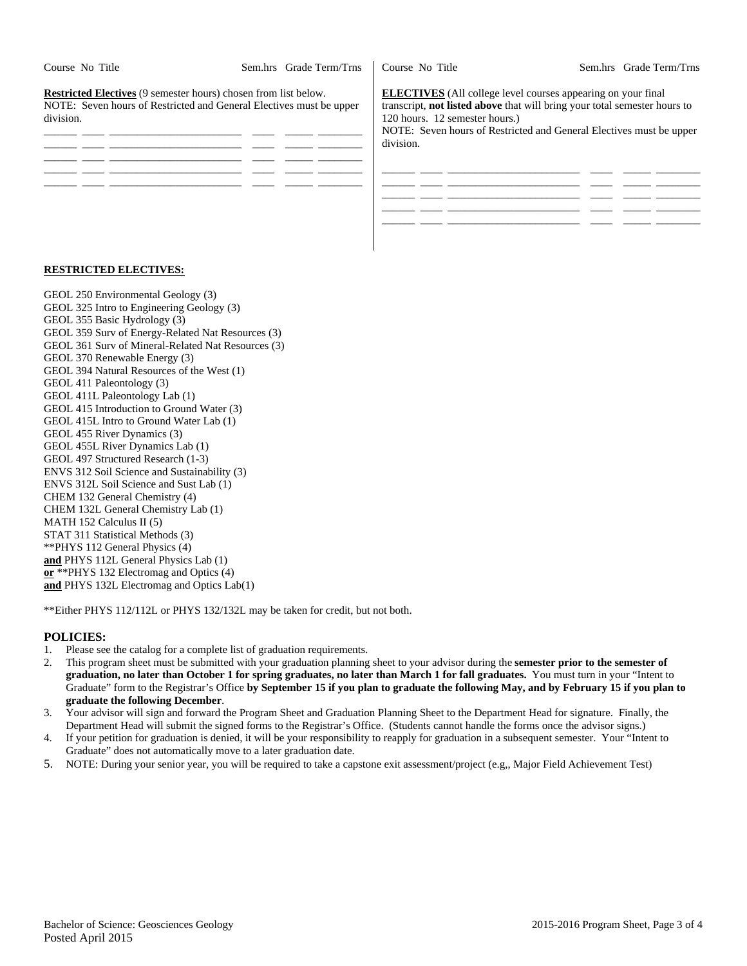| Course No Title                                                                                                                                            | Sem.hrs Grade Term/Trns | Course No Title                                                                                                                                                                                                                                                  | Sem.hrs Grade Term/Trns |
|------------------------------------------------------------------------------------------------------------------------------------------------------------|-------------------------|------------------------------------------------------------------------------------------------------------------------------------------------------------------------------------------------------------------------------------------------------------------|-------------------------|
| <b>Restricted Electives</b> (9 semester hours) chosen from list below.<br>NOTE: Seven hours of Restricted and General Electives must be upper<br>division. |                         | <b>ELECTIVES</b> (All college level courses appearing on your final<br>transcript, <b>not listed above</b> that will bring your total semester hours to<br>120 hours. 12 semester hours.)<br>NOTE: Seven hours of Restricted and General Electives must be upper |                         |
|                                                                                                                                                            |                         | division.                                                                                                                                                                                                                                                        |                         |
|                                                                                                                                                            |                         |                                                                                                                                                                                                                                                                  |                         |
|                                                                                                                                                            |                         |                                                                                                                                                                                                                                                                  |                         |

#### **RESTRICTED ELECTIVES:**

GEOL 250 Environmental Geology (3) GEOL 325 Intro to Engineering Geology (3) GEOL 355 Basic Hydrology (3) GEOL 359 Surv of Energy-Related Nat Resources (3) GEOL 361 Surv of Mineral-Related Nat Resources (3) GEOL 370 Renewable Energy (3) GEOL 394 Natural Resources of the West (1) GEOL 411 Paleontology (3) GEOL 411L Paleontology Lab (1) GEOL 415 Introduction to Ground Water (3) GEOL 415L Intro to Ground Water Lab (1) GEOL 455 River Dynamics (3) GEOL 455L River Dynamics Lab (1) GEOL 497 Structured Research (1-3) ENVS 312 Soil Science and Sustainability (3) ENVS 312L Soil Science and Sust Lab (1) CHEM 132 General Chemistry (4) CHEM 132L General Chemistry Lab (1) MATH 152 Calculus II (5) STAT 311 Statistical Methods (3) \*\*PHYS 112 General Physics (4) **and** PHYS 112L General Physics Lab (1) **or** \*\*PHYS 132 Electromag and Optics (4) **and** PHYS 132L Electromag and Optics Lab(1)

\*\*Either PHYS 112/112L or PHYS 132/132L may be taken for credit, but not both.

## **POLICIES:**

- 1. Please see the catalog for a complete list of graduation requirements.
- 2. This program sheet must be submitted with your graduation planning sheet to your advisor during the **semester prior to the semester of graduation, no later than October 1 for spring graduates, no later than March 1 for fall graduates.** You must turn in your "Intent to Graduate" form to the Registrar's Office **by September 15 if you plan to graduate the following May, and by February 15 if you plan to graduate the following December**.
- 3. Your advisor will sign and forward the Program Sheet and Graduation Planning Sheet to the Department Head for signature. Finally, the Department Head will submit the signed forms to the Registrar's Office. (Students cannot handle the forms once the advisor signs.)
- 4. If your petition for graduation is denied, it will be your responsibility to reapply for graduation in a subsequent semester. Your "Intent to Graduate" does not automatically move to a later graduation date.
- 5. NOTE: During your senior year, you will be required to take a capstone exit assessment/project (e.g,, Major Field Achievement Test)